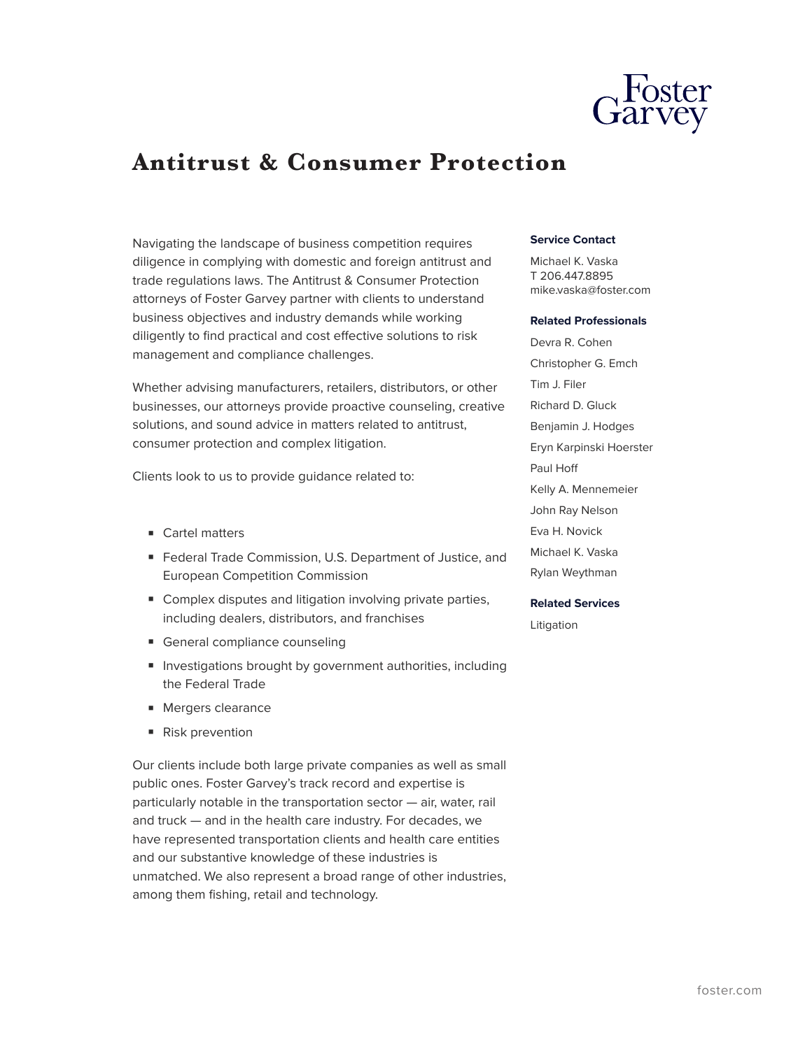

# **Antitrust & Consumer Protection**

Navigating the landscape of business competition requires diligence in complying with domestic and foreign antitrust and trade regulations laws. The Antitrust & Consumer Protection attorneys of Foster Garvey partner with clients to understand business objectives and industry demands while working diligently to find practical and cost effective solutions to risk management and compliance challenges.

Whether advising manufacturers, retailers, distributors, or other businesses, our attorneys provide proactive counseling, creative solutions, and sound advice in matters related to antitrust, consumer protection and complex litigation.

Clients look to us to provide guidance related to:

- Cartel matters
- Federal Trade Commission, U.S. Department of Justice, and European Competition Commission
- Complex disputes and litigation involving private parties, including dealers, distributors, and franchises
- General compliance counseling
- Investigations brought by government authorities, including the Federal Trade
- Mergers clearance
- Risk prevention

Our clients include both large private companies as well as small public ones. Foster Garvey's track record and expertise is particularly notable in the transportation sector — air, water, rail and truck — and in the health care industry. For decades, we have represented transportation clients and health care entities and our substantive knowledge of these industries is unmatched. We also represent a broad range of other industries, among them fishing, retail and technology.

## **Service Contact**

Michael K. Vaska T 206.447.8895 mike.vaska@foster.com

#### **Related Professionals**

Devra R. Cohen Christopher G. Emch Tim J. Filer Richard D. Gluck Benjamin J. Hodges Eryn Karpinski Hoerster Paul Hoff Kelly A. Mennemeier John Ray Nelson Eva H. Novick Michael K. Vaska Rylan Weythman

## **Related Services**

Litigation